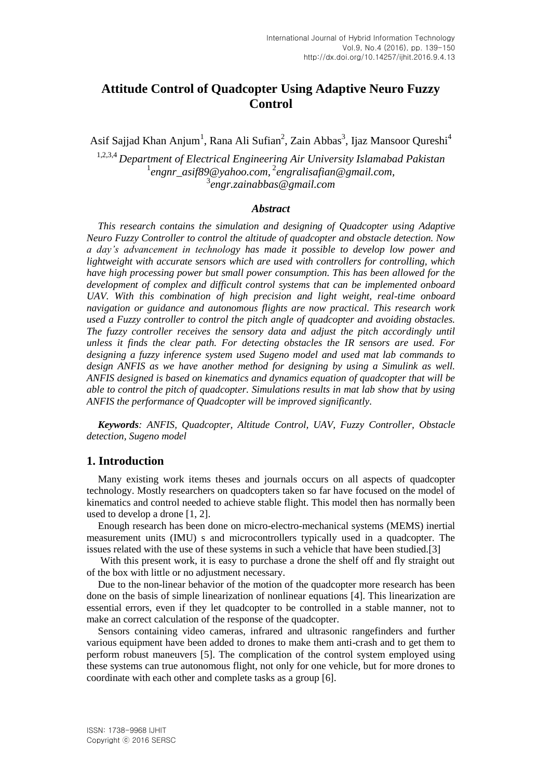## **Attitude Control of Quadcopter Using Adaptive Neuro Fuzzy Control**

Asif Sajjad Khan Anjum<sup>1</sup>, Rana Ali Sufian<sup>2</sup>, Zain Abbas<sup>3</sup>, Ijaz Mansoor Qureshi<sup>4</sup>

1,2,3,4 *Department of Electrical Engineering Air University Islamabad Pakistan* 1 *engnr\_asif89@yahoo.com,* 2 *engralisafian@gmail.com,* 3 *engr.zainabbas@gmail.com*

#### *Abstract*

*This research contains the simulation and designing of Quadcopter using Adaptive Neuro Fuzzy Controller to control the altitude of quadcopter and obstacle detection. Now a day's advancement in technology has made it possible to develop low power and lightweight with accurate sensors which are used with controllers for controlling, which have high processing power but small power consumption. This has been allowed for the development of complex and difficult control systems that can be implemented onboard UAV. With this combination of high precision and light weight, real-time onboard navigation or guidance and autonomous flights are now practical. This research work used a Fuzzy controller to control the pitch angle of quadcopter and avoiding obstacles. The fuzzy controller receives the sensory data and adjust the pitch accordingly until unless it finds the clear path. For detecting obstacles the IR sensors are used. For designing a fuzzy inference system used Sugeno model and used mat lab commands to design ANFIS as we have another method for designing by using a Simulink as well. ANFIS designed is based on kinematics and dynamics equation of quadcopter that will be able to control the pitch of quadcopter. Simulations results in mat lab show that by using ANFIS the performance of Quadcopter will be improved significantly.*

*Keywords: ANFIS, Quadcopter, Altitude Control, UAV, Fuzzy Controller, Obstacle detection, Sugeno model*

#### **1. Introduction**

Many existing work items theses and journals occurs on all aspects of quadcopter technology. Mostly researchers on quadcopters taken so far have focused on the model of kinematics and control needed to achieve stable flight. This model then has normally been used to develop a drone [1, 2].

Enough research has been done on micro-electro-mechanical systems (MEMS) inertial measurement units (IMU) s and microcontrollers typically used in a quadcopter. The issues related with the use of these systems in such a vehicle that have been studied.[3]

With this present work, it is easy to purchase a drone the shelf off and fly straight out of the box with little or no adjustment necessary.

Due to the non-linear behavior of the motion of the quadcopter more research has been done on the basis of simple linearization of nonlinear equations [4]. This linearization are essential errors, even if they let quadcopter to be controlled in a stable manner, not to make an correct calculation of the response of the quadcopter.

Sensors containing video cameras, infrared and ultrasonic rangefinders and further various equipment have been added to drones to make them anti-crash and to get them to perform robust maneuvers [5]. The complication of the control system employed using these systems can true autonomous flight, not only for one vehicle, but for more drones to coordinate with each other and complete tasks as a group [6].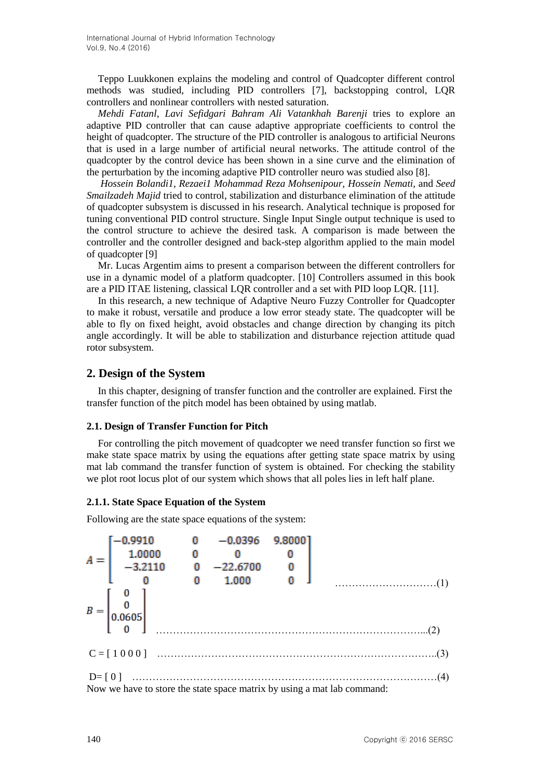Teppo Luukkonen explains the modeling and control of Quadcopter different control methods was studied, including PID controllers [7], backstopping control, LQR controllers and nonlinear controllers with nested saturation.

*Mehdi Fatanl*, *Lavi Sefidgari Bahram Ali Vatankhah Barenji* tries to explore an adaptive PID controller that can cause adaptive appropriate coefficients to control the height of quadcopter. The structure of the PID controller is analogous to artificial Neurons that is used in a large number of artificial neural networks. The attitude control of the quadcopter by the control device has been shown in a sine curve and the elimination of the perturbation by the incoming adaptive PID controller neuro was studied also [8].

*Hossein Bolandi1*, *Rezaei1 Mohammad Reza Mohsenipour, Hossein Nemati,* and *Seed Smailzadeh Majid* tried to control, stabilization and disturbance elimination of the attitude of quadcopter subsystem is discussed in his research. Analytical technique is proposed for tuning conventional PID control structure. Single Input Single output technique is used to the control structure to achieve the desired task. A comparison is made between the controller and the controller designed and back-step algorithm applied to the main model of quadcopter [9]

Mr. Lucas Argentim aims to present a comparison between the different controllers for use in a dynamic model of a platform quadcopter. [10] Controllers assumed in this book are a PID ITAE listening, classical LQR controller and a set with PID loop LQR. [11].

In this research, a new technique of Adaptive Neuro Fuzzy Controller for Quadcopter to make it robust, versatile and produce a low error steady state. The quadcopter will be able to fly on fixed height, avoid obstacles and change direction by changing its pitch angle accordingly. It will be able to stabilization and disturbance rejection attitude quad rotor subsystem.

### **2. Design of the System**

In this chapter, designing of transfer function and the controller are explained. First the transfer function of the pitch model has been obtained by using matlab.

#### **2.1. Design of Transfer Function for Pitch**

For controlling the pitch movement of quadcopter we need transfer function so first we make state space matrix by using the equations after getting state space matrix by using mat lab command the transfer function of system is obtained. For checking the stability we plot root locus plot of our system which shows that all poles lies in left half plane.

#### **2.1.1. State Space Equation of the System**

Following are the state space equations of the system:

$$
A = \begin{bmatrix} -0.9910 & 0 & -0.0396 & 9.8000 \\ 1.0000 & 0 & 0 & 0 \\ -3.2110 & 0 & -22.6700 & 0 \\ 0 & 0 & 1.000 & 0 \end{bmatrix}
$$
...(1)  

$$
B = \begin{bmatrix} 0 \\ 0 \\ 0.0605 \\ 0 \end{bmatrix}
$$
...(2)  

$$
C = \begin{bmatrix} 1 & 0 & 0 & 0 \\ 0 & 0 & 0 & 0 \\ 0 & 0 & 0 & 0 \end{bmatrix}
$$
...(3)  
De [0] ....... (3)  
Now we have to store the state space matrix by using a mat lab command: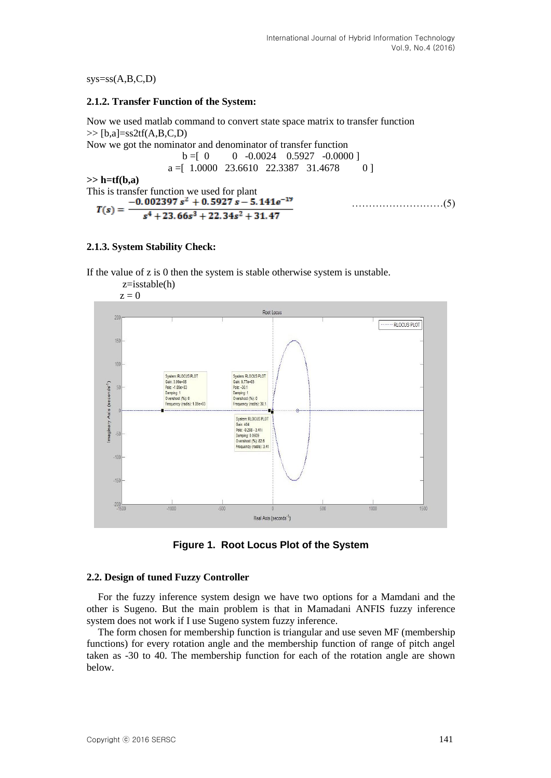$sys=ss(A,B,C,D)$ 

#### **2.1.2. Transfer Function of the System:**

Now we used matlab command to convert state space matrix to transfer function  $\gg$  [b,a]=ss2tf(A,B,C,D)

Now we got the nominator and denominator of transfer function  $b = [0 \t 0 \t -0.0024 \t 0.5927 \t -0.0000]$  $a =$ [ 1.0000 23.6610 22.3387 31.4678 0 ]

**>> h=tf(b,a)**

This is transfer function we used for plant<br>-0.002397  $s^2$  + 0.5927  $s - 5.141e^{-19}$ ………………………(5)  $T(s) =$  $s^4$  + 23.66 $s^3$  + 22.34 $s^2$  + 31.47

### **2.1.3. System Stability Check:**

If the value of z is 0 then the system is stable otherwise system is unstable.



**Figure 1. Root Locus Plot of the System**

#### **2.2. Design of tuned Fuzzy Controller**

For the fuzzy inference system design we have two options for a Mamdani and the other is Sugeno. But the main problem is that in Mamadani ANFIS fuzzy inference system does not work if I use Sugeno system fuzzy inference.

The form chosen for membership function is triangular and use seven MF (membership functions) for every rotation angle and the membership function of range of pitch angel taken as -30 to 40. The membership function for each of the rotation angle are shown below.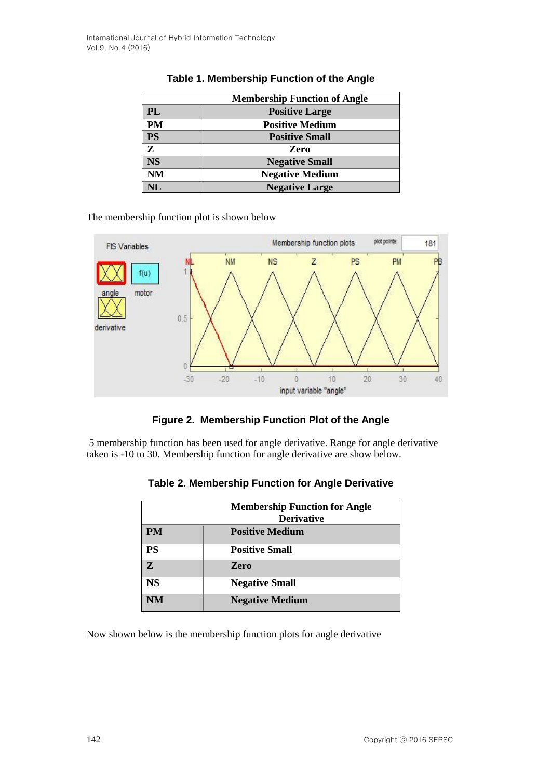| <b>Membership Function of Angle</b> |                        |  |  |  |
|-------------------------------------|------------------------|--|--|--|
| <b>PL</b>                           | <b>Positive Large</b>  |  |  |  |
| <b>PM</b>                           | <b>Positive Medium</b> |  |  |  |
| <b>PS</b>                           | <b>Positive Small</b>  |  |  |  |
| Z                                   | <b>Zero</b>            |  |  |  |
| <b>NS</b>                           | <b>Negative Small</b>  |  |  |  |
| <b>NM</b>                           | <b>Negative Medium</b> |  |  |  |
| NL                                  | <b>Negative Large</b>  |  |  |  |

## **Table 1. Membership Function of the Angle**

The membership function plot is shown below



**Figure 2. Membership Function Plot of the Angle**

5 membership function has been used for angle derivative. Range for angle derivative taken is -10 to 30. Membership function for angle derivative are show below.

|              | <b>Membership Function for Angle</b><br><b>Derivative</b> |
|--------------|-----------------------------------------------------------|
| <b>PM</b>    | <b>Positive Medium</b>                                    |
| PS           | <b>Positive Small</b>                                     |
| $\mathbf{Z}$ | Zero                                                      |
| <b>NS</b>    | <b>Negative Small</b>                                     |
| <b>NM</b>    | <b>Negative Medium</b>                                    |

**Table 2. Membership Function for Angle Derivative**

Now shown below is the membership function plots for angle derivative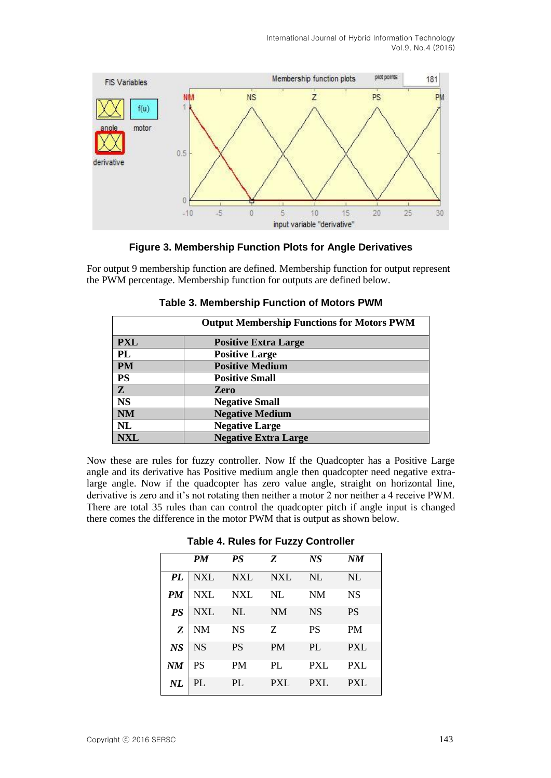

#### **Figure 3. Membership Function Plots for Angle Derivatives**

For output 9 membership function are defined. Membership function for output represent the PWM percentage. Membership function for outputs are defined below.

| <b>Output Membership Functions for Motors PWM</b> |                             |  |  |  |
|---------------------------------------------------|-----------------------------|--|--|--|
| <b>PXL</b>                                        | <b>Positive Extra Large</b> |  |  |  |
| PL                                                | <b>Positive Large</b>       |  |  |  |
| <b>PM</b>                                         | <b>Positive Medium</b>      |  |  |  |
| <b>PS</b>                                         | <b>Positive Small</b>       |  |  |  |
| Z                                                 | Zero                        |  |  |  |
| <b>NS</b>                                         | <b>Negative Small</b>       |  |  |  |
| <b>NM</b>                                         | <b>Negative Medium</b>      |  |  |  |
| <b>NL</b>                                         | <b>Negative Large</b>       |  |  |  |
| NXL                                               | <b>Negative Extra Large</b> |  |  |  |

#### **Table 3. Membership Function of Motors PWM**

Now these are rules for fuzzy controller. Now If the Quadcopter has a Positive Large angle and its derivative has Positive medium angle then quadcopter need negative extralarge angle. Now if the quadcopter has zero value angle, straight on horizontal line, derivative is zero and it's not rotating then neither a motor 2 nor neither a 4 receive PWM. There are total 35 rules than can control the quadcopter pitch if angle input is changed there comes the difference in the motor PWM that is output as shown below.

|           | <b>PM</b>  | <b>PS</b>  | Z          | <b>NS</b>  | NM         |
|-----------|------------|------------|------------|------------|------------|
| <b>PL</b> | <b>NXL</b> | <b>NXL</b> | <b>NXL</b> | NL         | NL         |
| <b>PM</b> | <b>NXL</b> | <b>NXL</b> | <b>NL</b>  | <b>NM</b>  | <b>NS</b>  |
| <b>PS</b> | <b>NXL</b> | NL         | <b>NM</b>  | <b>NS</b>  | <b>PS</b>  |
| Z         | <b>NM</b>  | <b>NS</b>  | Z          | <b>PS</b>  | <b>PM</b>  |
| <b>NS</b> | <b>NS</b>  | <b>PS</b>  | <b>PM</b>  | PL         | PXL        |
| NM        | PS         | PM         | PL         | <b>PXL</b> | <b>PXL</b> |
| $N\!L$    | PL         | PI.        | PXL        | PXI.       | PXL        |

#### **Table 4. Rules for Fuzzy Controller**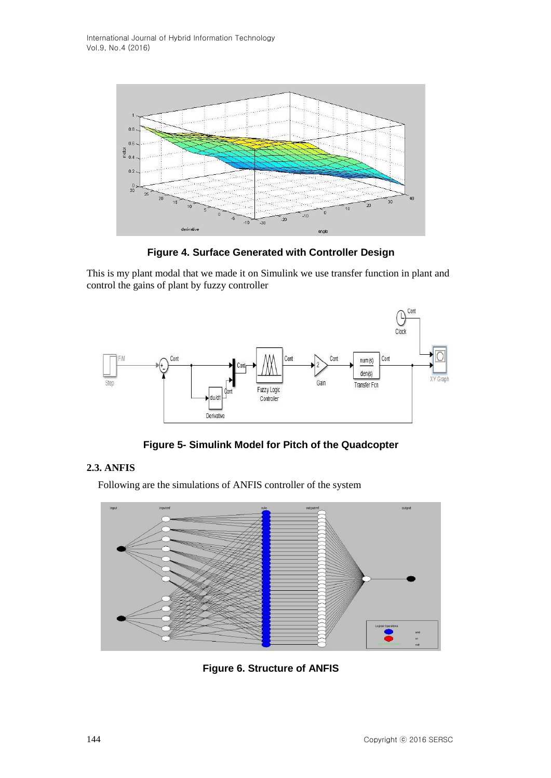

**Figure 4. Surface Generated with Controller Design**

This is my plant modal that we made it on Simulink we use transfer function in plant and control the gains of plant by fuzzy controller



**Figure 5- Simulink Model for Pitch of the Quadcopter**

## **2.3. ANFIS**

Following are the simulations of ANFIS controller of the system



**Figure 6. Structure of ANFIS**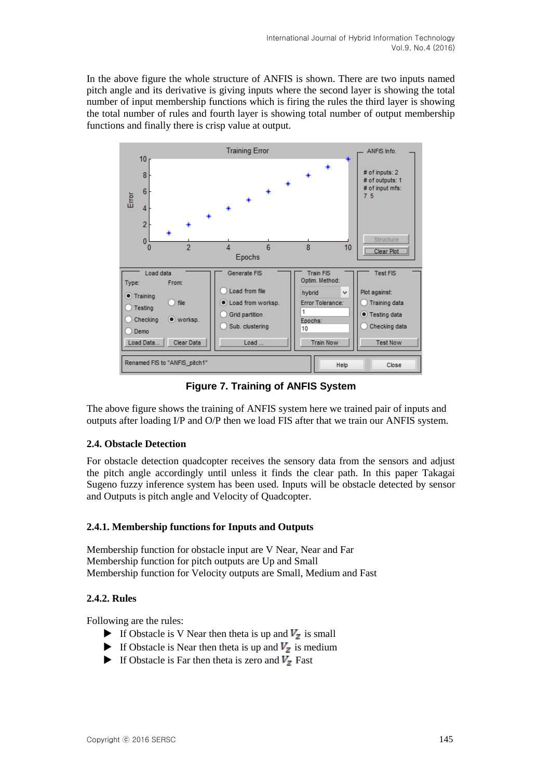In the above figure the whole structure of ANFIS is shown. There are two inputs named pitch angle and its derivative is giving inputs where the second layer is showing the total number of input membership functions which is firing the rules the third layer is showing the total number of rules and fourth layer is showing total number of output membership functions and finally there is crisp value at output.



**Figure 7. Training of ANFIS System**

The above figure shows the training of ANFIS system here we trained pair of inputs and outputs after loading I/P and O/P then we load FIS after that we train our ANFIS system.

## **2.4. Obstacle Detection**

For obstacle detection quadcopter receives the sensory data from the sensors and adjust the pitch angle accordingly until unless it finds the clear path. In this paper Takagai Sugeno fuzzy inference system has been used. Inputs will be obstacle detected by sensor and Outputs is pitch angle and Velocity of Quadcopter.

## **2.4.1. Membership functions for Inputs and Outputs**

Membership function for obstacle input are V Near, Near and Far Membership function for pitch outputs are Up and Small Membership function for Velocity outputs are Small, Medium and Fast

## **2.4.2. Rules**

Following are the rules:

- If Obstacle is V Near then theta is up and  $V_z$  is small
- If Obstacle is Near then theta is up and  $V_z$  is medium
- If Obstacle is Far then theta is zero and  $V_z$  Fast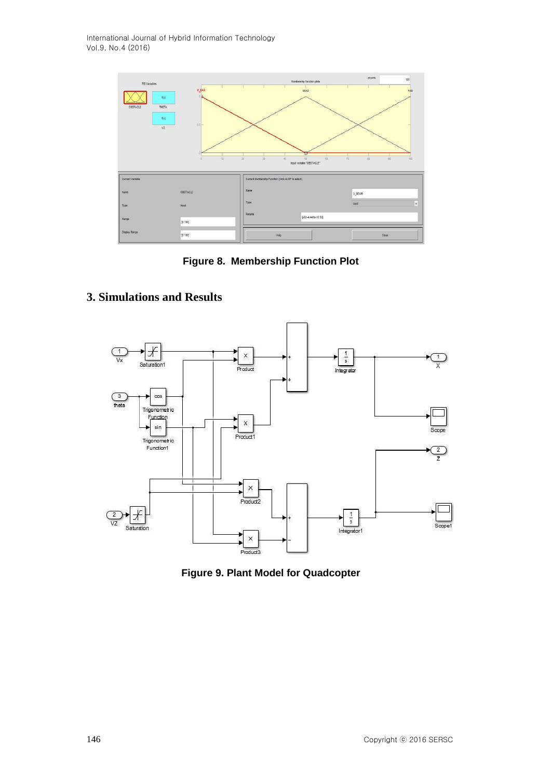

**Figure 8. Membership Function Plot**

# **3. Simulations and Results**



**Figure 9. Plant Model for Quadcopter**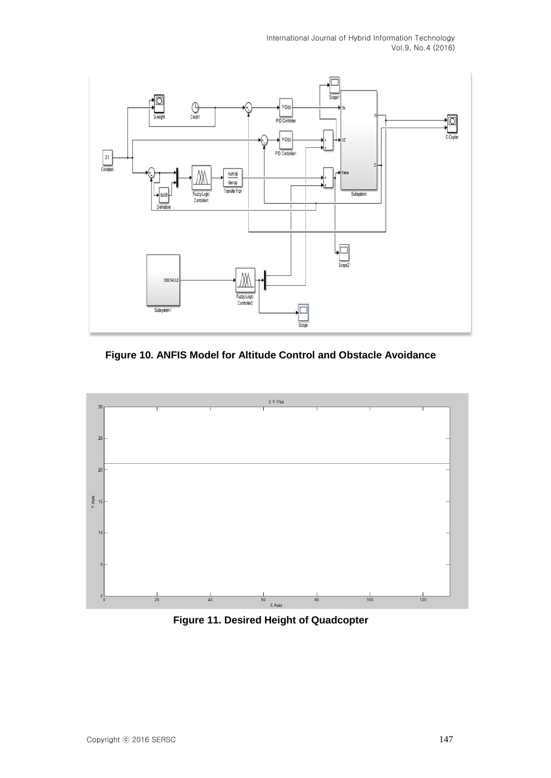

**Figure 10. ANFIS Model for Altitude Control and Obstacle Avoidance**



**Figure 11. Desired Height of Quadcopter**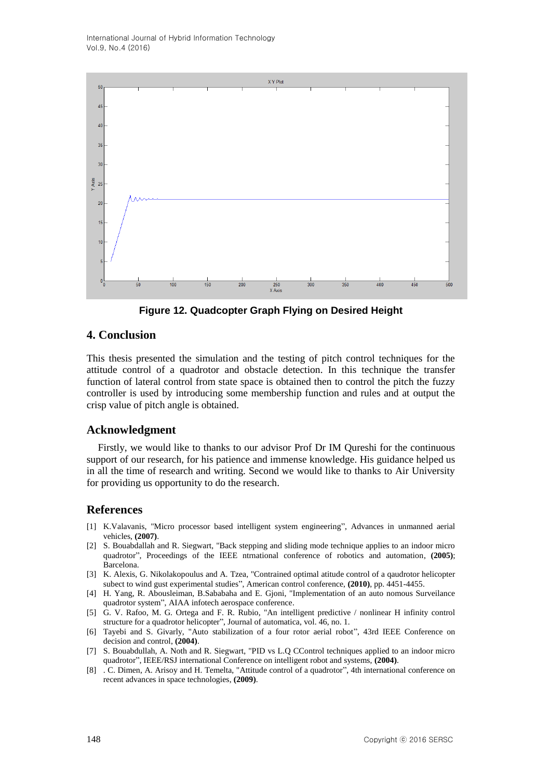

**Figure 12. Quadcopter Graph Flying on Desired Height**

## **4. Conclusion**

This thesis presented the simulation and the testing of pitch control techniques for the attitude control of a quadrotor and obstacle detection. In this technique the transfer function of lateral control from state space is obtained then to control the pitch the fuzzy controller is used by introducing some membership function and rules and at output the crisp value of pitch angle is obtained.

## **Acknowledgment**

Firstly, we would like to thanks to our advisor Prof Dr IM Qureshi for the continuous support of our research, for his patience and immense knowledge. His guidance helped us in all the time of research and writing. Second we would like to thanks to Air University for providing us opportunity to do the research.

## **References**

- [1] K.Valavanis, "Micro processor based intelligent system engineering", Advances in unmanned aerial vehicles, **(2007)**.
- [2] S. Bouabdallah and R. Siegwart, "Back stepping and sliding mode technique applies to an indoor micro quadrotor", Proceedings of the IEEE ntrnational conference of robotics and automation, **(2005)**; Barcelona.
- [3] K. Alexis, G. Nikolakopoulus and A. Tzea, "Contrained optimal atitude control of a qaudrotor helicopter subect to wind gust experimental studies", American control conference, **(2010)**, pp. 4451-4455.
- [4] H. Yang, R. Abousleiman, B.Sababaha and E. Gjoni, "Implementation of an auto nomous Surveilance quadrotor system", AIAA infotech aerospace conference.
- [5] G. V. Rafoo, M. G. Ortega and F. R. Rubio, "An intelligent predictive / nonlinear H infinity control structure for a quadrotor helicopter", Journal of automatica, vol. 46, no. 1.
- [6] Tayebi and S. Givarly, "Auto stabilization of a four rotor aerial robot", 43rd IEEE Conference on decision and control, **(2004)**.
- [7] S. Bouabdullah, A. Noth and R. Siegwart, "PID vs L.Q CControl techniques applied to an indoor micro quadrotor", IEEE/RSJ international Conference on intelligent robot and systems, **(2004)**.
- [8] . C. Dimen, A. Arisoy and H. Temelta, "Attitude control of a quadrotor", 4th international conference on recent advances in space technologies, **(2009)**.